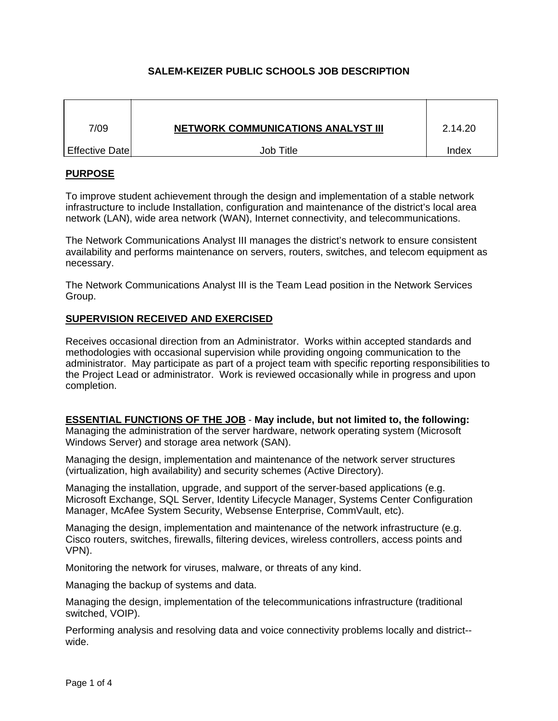# **SALEM-KEIZER PUBLIC SCHOOLS JOB DESCRIPTION**

| 7/09           | <b>NETWORK COMMUNICATIONS ANALYST III</b> | 2.14.20 |
|----------------|-------------------------------------------|---------|
| Effective Date | Job Title                                 | Index   |

### **PURPOSE**

To improve student achievement through the design and implementation of a stable network infrastructure to include Installation, configuration and maintenance of the district's local area network (LAN), wide area network (WAN), Internet connectivity, and telecommunications.

The Network Communications Analyst III manages the district's network to ensure consistent availability and performs maintenance on servers, routers, switches, and telecom equipment as necessary.

The Network Communications Analyst III is the Team Lead position in the Network Services Group.

### **SUPERVISION RECEIVED AND EXERCISED**

Receives occasional direction from an Administrator. Works within accepted standards and methodologies with occasional supervision while providing ongoing communication to the administrator. May participate as part of a project team with specific reporting responsibilities to the Project Lead or administrator. Work is reviewed occasionally while in progress and upon completion.

**ESSENTIAL FUNCTIONS OF THE JOB** - **May include, but not limited to, the following:** Managing the administration of the server hardware, network operating system (Microsoft Windows Server) and storage area network (SAN).

Managing the design, implementation and maintenance of the network server structures (virtualization, high availability) and security schemes (Active Directory).

Managing the installation, upgrade, and support of the server-based applications (e.g. Microsoft Exchange, SQL Server, Identity Lifecycle Manager, Systems Center Configuration Manager, McAfee System Security, Websense Enterprise, CommVault, etc).

Managing the design, implementation and maintenance of the network infrastructure (e.g. Cisco routers, switches, firewalls, filtering devices, wireless controllers, access points and VPN).

Monitoring the network for viruses, malware, or threats of any kind.

Managing the backup of systems and data.

Managing the design, implementation of the telecommunications infrastructure (traditional switched, VOIP).

Performing analysis and resolving data and voice connectivity problems locally and district- wide.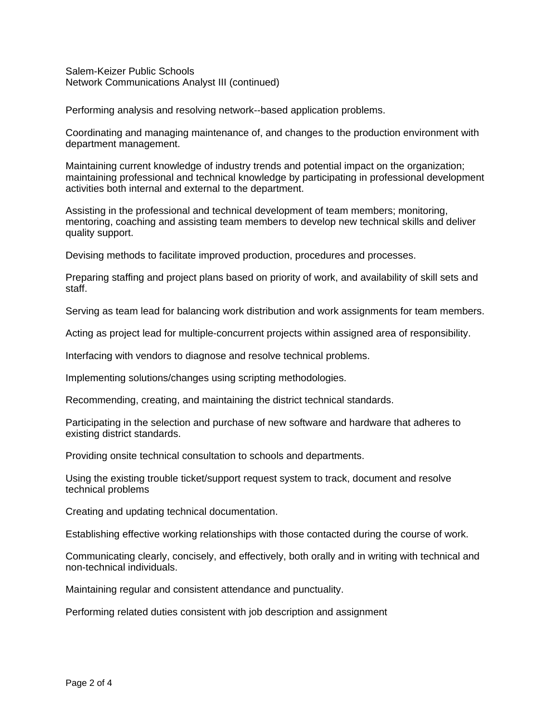Salem-Keizer Public Schools Network Communications Analyst III (continued)

Performing analysis and resolving network--based application problems.

Coordinating and managing maintenance of, and changes to the production environment with department management.

Maintaining current knowledge of industry trends and potential impact on the organization; maintaining professional and technical knowledge by participating in professional development activities both internal and external to the department.

Assisting in the professional and technical development of team members; monitoring, mentoring, coaching and assisting team members to develop new technical skills and deliver quality support.

Devising methods to facilitate improved production, procedures and processes.

Preparing staffing and project plans based on priority of work, and availability of skill sets and staff.

Serving as team lead for balancing work distribution and work assignments for team members.

Acting as project lead for multiple-concurrent projects within assigned area of responsibility.

Interfacing with vendors to diagnose and resolve technical problems.

Implementing solutions/changes using scripting methodologies.

Recommending, creating, and maintaining the district technical standards.

Participating in the selection and purchase of new software and hardware that adheres to existing district standards.

Providing onsite technical consultation to schools and departments.

Using the existing trouble ticket/support request system to track, document and resolve technical problems

Creating and updating technical documentation.

Establishing effective working relationships with those contacted during the course of work.

Communicating clearly, concisely, and effectively, both orally and in writing with technical and non-technical individuals.

Maintaining regular and consistent attendance and punctuality.

Performing related duties consistent with job description and assignment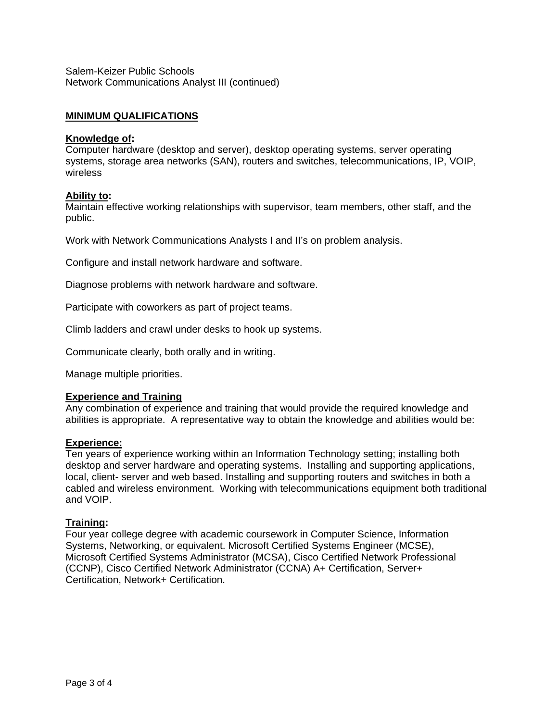Salem-Keizer Public Schools Network Communications Analyst III (continued)

## **MINIMUM QUALIFICATIONS**

#### **Knowledge of:**

Computer hardware (desktop and server), desktop operating systems, server operating systems, storage area networks (SAN), routers and switches, telecommunications, IP, VOIP, wireless

### **Ability to:**

Maintain effective working relationships with supervisor, team members, other staff, and the public.

Work with Network Communications Analysts I and II's on problem analysis.

Configure and install network hardware and software.

Diagnose problems with network hardware and software.

Participate with coworkers as part of project teams.

Climb ladders and crawl under desks to hook up systems.

Communicate clearly, both orally and in writing.

Manage multiple priorities.

### **Experience and Training**

Any combination of experience and training that would provide the required knowledge and abilities is appropriate. A representative way to obtain the knowledge and abilities would be:

#### **Experience:**

Ten years of experience working within an Information Technology setting; installing both desktop and server hardware and operating systems. Installing and supporting applications, local, client- server and web based. Installing and supporting routers and switches in both a cabled and wireless environment. Working with telecommunications equipment both traditional and VOIP.

### **Training:**

Four year college degree with academic coursework in Computer Science, Information Systems, Networking, or equivalent. Microsoft Certified Systems Engineer (MCSE), Microsoft Certified Systems Administrator (MCSA), Cisco Certified Network Professional (CCNP), Cisco Certified Network Administrator (CCNA) A+ Certification, Server+ Certification, Network+ Certification.